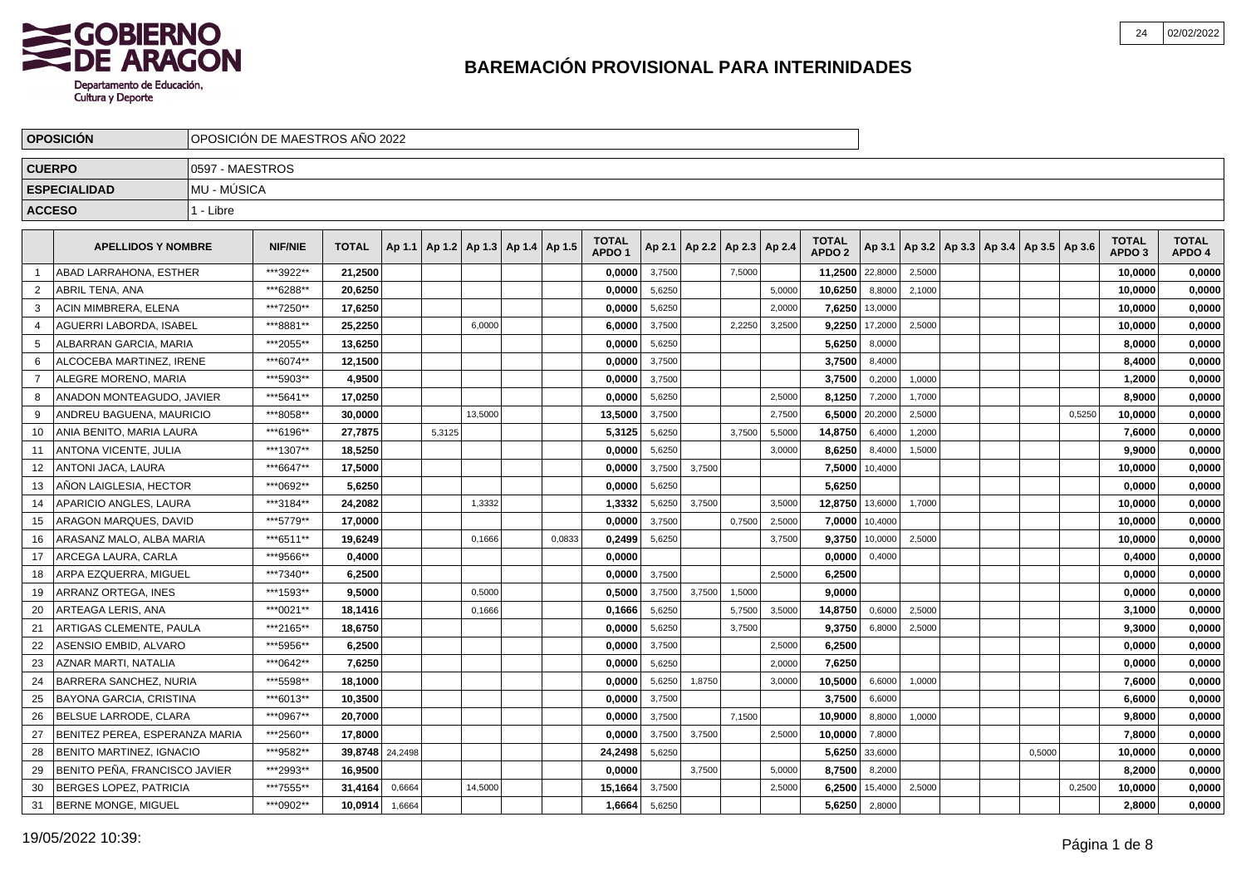

|                | <b>OPOSICION</b>                 | OPOSICIÓN DE MAESTROS AÑO 2022 |                |                 |        |        |                                            |        |                                   |        |        |                                   |        |                                   |         |        |                                            |        |        |                                   |                        |
|----------------|----------------------------------|--------------------------------|----------------|-----------------|--------|--------|--------------------------------------------|--------|-----------------------------------|--------|--------|-----------------------------------|--------|-----------------------------------|---------|--------|--------------------------------------------|--------|--------|-----------------------------------|------------------------|
| <b>CUERPO</b>  |                                  | 0597 - MAESTROS                |                |                 |        |        |                                            |        |                                   |        |        |                                   |        |                                   |         |        |                                            |        |        |                                   |                        |
|                | <b>ESPECIALIDAD</b>              | MU - MÚSICA                    |                |                 |        |        |                                            |        |                                   |        |        |                                   |        |                                   |         |        |                                            |        |        |                                   |                        |
| <b>ACCESO</b>  |                                  | 1 - Libre                      |                |                 |        |        |                                            |        |                                   |        |        |                                   |        |                                   |         |        |                                            |        |        |                                   |                        |
|                |                                  |                                |                |                 |        |        |                                            |        |                                   |        |        |                                   |        |                                   |         |        |                                            |        |        |                                   |                        |
|                | <b>APELLIDOS Y NOMBRE</b>        |                                | <b>NIF/NIE</b> | <b>TOTAL</b>    |        |        | Ap 1.1   Ap 1.2   Ap 1.3   Ap 1.4   Ap 1.5 |        | <b>TOTAL</b><br>APDO <sub>1</sub> |        |        | Ap 2.1   Ap 2.2   Ap 2.3   Ap 2.4 |        | <b>TOTAL</b><br>APDO <sub>2</sub> | Ap 3.1  |        | Ap 3.2   Ap 3.3   Ap 3.4   Ap 3.5   Ap 3.6 |        |        | <b>TOTAL</b><br>APDO <sub>3</sub> | <b>TOTAL</b><br>APDO 4 |
|                | ABAD LARRAHONA, ESTHER           |                                | ***3922**      | 21,2500         |        |        |                                            |        | 0,0000                            | 3,7500 |        | 7,5000                            |        | 11,2500                           | 22,8000 | 2,5000 |                                            |        |        | 10,0000                           | 0,0000                 |
| 2              | ABRIL TENA, ANA                  |                                | ***6288**      | 20,6250         |        |        |                                            |        | 0,0000                            | 5,6250 |        |                                   | 5,0000 | 10,6250                           | 8,8000  | 2,1000 |                                            |        |        | 10,0000                           | 0,0000                 |
| 3              | ACIN MIMBRERA, ELENA             |                                | ***7250**      | 17,6250         |        |        |                                            |        | 0,0000                            | 5,6250 |        |                                   | 2,0000 | 7,6250                            | 13,0000 |        |                                            |        |        | 10,0000                           | 0,0000                 |
|                | AGUERRI LABORDA, ISABEL          |                                | ***8881**      | 25,2250         |        |        | 6,0000                                     |        | 6,0000                            | 3,7500 |        | 2,2250                            | 3,2500 | 9,2250                            | 17,2000 | 2,5000 |                                            |        |        | 10,0000                           | 0,0000                 |
|                | ALBARRAN GARCIA, MARIA           |                                | ***2055**      | 13,6250         |        |        |                                            |        | 0,0000                            | 5,6250 |        |                                   |        | 5,6250                            | 8,0000  |        |                                            |        |        | 8,0000                            | 0,0000                 |
| 6              | ALCOCEBA MARTINEZ, IRENE         |                                | ***6074**      | 12,1500         |        |        |                                            |        | 0,0000                            | 3,7500 |        |                                   |        | 3,7500                            | 8,4000  |        |                                            |        |        | 8,4000                            | 0,0000                 |
| $\overline{7}$ | ALEGRE MORENO, MARIA             |                                | ***5903**      | 4.9500          |        |        |                                            |        | 0.0000                            | 3,7500 |        |                                   |        | 3,7500                            | 0,2000  | 1,0000 |                                            |        |        | 1.2000                            | 0,0000                 |
| 8              | <b>ANADON MONTEAGUDO, JAVIER</b> |                                | ***5641**      | 17,0250         |        |        |                                            |        | 0,0000                            | 5,6250 |        |                                   | 2.5000 | 8,1250                            | 7,2000  | 1,7000 |                                            |        |        | 8,9000                            | 0,0000                 |
| -9             | ANDREU BAGUENA, MAURICIO         |                                | ***8058**      | 30,0000         |        |        | 13,5000                                    |        | 13,5000                           | 3,7500 |        |                                   | 2.7500 | 6,5000                            | 20,2000 | 2,5000 |                                            |        | 0,5250 | 10,0000                           | 0,0000                 |
| 10             | ANIA BENITO, MARIA LAURA         |                                | ***6196**      | 27,7875         |        | 5,3125 |                                            |        | 5,3125                            | 5,6250 |        | 3,7500                            | 5,5000 | 14,8750                           | 6,4000  | 1,2000 |                                            |        |        | 7,6000                            | 0,0000                 |
| 11             | ANTONA VICENTE, JULIA            |                                | ***1307**      | 18,5250         |        |        |                                            |        | 0,0000                            | 5,6250 |        |                                   | 3,0000 | 8,6250                            | 8,4000  | 1,5000 |                                            |        |        | 9,9000                            | 0,0000                 |
| 12             | ANTONI JACA, LAURA               |                                | ***6647**      | 17,5000         |        |        |                                            |        | 0,0000                            | 3,7500 | 3,7500 |                                   |        | 7,5000                            | 10,4000 |        |                                            |        |        | 10,0000                           | 0,0000                 |
| 13             | AÑON LAIGLESIA, HECTOR           |                                | ***0692**      | 5,6250          |        |        |                                            |        | 0,0000                            | 5,6250 |        |                                   |        | 5,6250                            |         |        |                                            |        |        | 0,0000                            | 0,0000                 |
| 14             | APARICIO ANGLES, LAURA           |                                | ***3184**      | 24,2082         |        |        | 1,3332                                     |        | 1,3332                            | 5,6250 | 3,7500 |                                   | 3,5000 | 12,8750 13,6000                   |         | 1,7000 |                                            |        |        | 10,0000                           | 0,0000                 |
| 15             | <b>ARAGON MARQUES, DAVID</b>     |                                | ***5779**      | 17,0000         |        |        |                                            |        | 0,0000                            | 3,7500 |        | 0,7500                            | 2,5000 | 7,0000 10,4000                    |         |        |                                            |        |        | 10,0000                           | 0,0000                 |
| 16             | ARASANZ MALO, ALBA MARIA         |                                | ***6511**      | 19,6249         |        |        | 0,1666                                     | 0,0833 | 0,2499                            | 5,6250 |        |                                   | 3,7500 | 9,3750                            | 10,0000 | 2,5000 |                                            |        |        | 10,0000                           | 0,0000                 |
| 17             | ARCEGA LAURA, CARLA              |                                | ***9566**      | 0,4000          |        |        |                                            |        | 0,0000                            |        |        |                                   |        | 0,0000                            | 0,4000  |        |                                            |        |        | 0,4000                            | 0,0000                 |
| 18             | ARPA EZQUERRA. MIGUEL            |                                | ***7340**      | 6,2500          |        |        |                                            |        | 0,0000                            | 3,7500 |        |                                   | 2.5000 | 6,2500                            |         |        |                                            |        |        | 0,0000                            | 0,0000                 |
| 19             | ARRANZ ORTEGA. INES              |                                | ***1593**      | 9.5000          |        |        | 0,5000                                     |        | 0,5000                            | 3,7500 | 3,7500 | 1,5000                            |        | 9,0000                            |         |        |                                            |        |        | 0.0000                            | 0,0000                 |
| 20             | ARTEAGA LERIS, ANA               |                                | ***0021**      | 18,1416         |        |        | 0,1666                                     |        | 0,1666                            | 5,6250 |        | 5,7500                            | 3,5000 | 14,8750                           | 0,6000  | 2,5000 |                                            |        |        | 3,1000                            | 0,0000                 |
| 21             | <b>ARTIGAS CLEMENTE, PAULA</b>   |                                | ***2165**      | 18,6750         |        |        |                                            |        | 0,0000                            | 5,6250 |        | 3,7500                            |        | 9,3750                            | 6,8000  | 2,5000 |                                            |        |        | 9,3000                            | 0,0000                 |
| 22             | ASENSIO EMBID. ALVARO            |                                | ***5956**      | 6,2500          |        |        |                                            |        | 0,0000                            | 3,7500 |        |                                   | 2,5000 | 6,2500                            |         |        |                                            |        |        | 0,0000                            | 0,0000                 |
| 23             | AZNAR MARTI, NATALIA             |                                | ***0642**      | 7,6250          |        |        |                                            |        | 0,0000                            | 5,6250 |        |                                   | 2,0000 | 7,6250                            |         |        |                                            |        |        | 0,0000                            | 0,0000                 |
| 24             | BARRERA SANCHEZ, NURIA           |                                | ***5598**      | 18,1000         |        |        |                                            |        | 0,0000                            | 5,6250 | 1,8750 |                                   | 3,0000 | 10,5000                           | 6,6000  | 1,0000 |                                            |        |        | 7,6000                            | 0,0000                 |
| 25             | <b>BAYONA GARCIA, CRISTINA</b>   |                                | ***6013**      | 10,3500         |        |        |                                            |        | 0,0000                            | 3,7500 |        |                                   |        | 3,7500                            | 6,6000  |        |                                            |        |        | 6,6000                            | 0,0000                 |
| 26             | BELSUE LARRODE, CLARA            |                                | ***0967**      | 20,7000         |        |        |                                            |        | 0,0000                            | 3,7500 |        | 7,1500                            |        | 10,9000                           | 8,8000  | 1,0000 |                                            |        |        | 9,8000                            | 0,0000                 |
| 27             | BENITEZ PEREA, ESPERANZA MARIA   |                                | ***2560**      | 17,8000         |        |        |                                            |        | 0,0000                            | 3,7500 | 3,7500 |                                   | 2,5000 | 10,0000                           | 7,8000  |        |                                            |        |        | 7,8000                            | 0,0000                 |
| 28             | <b>BENITO MARTINEZ, IGNACIO</b>  |                                | ***9582**      | 39,8748 24,2498 |        |        |                                            |        | 24,2498                           | 5,6250 |        |                                   |        | 5,6250                            | 33,6000 |        |                                            | 0,5000 |        | 10,0000                           | 0,0000                 |
| 29             | BENITO PEÑA, FRANCISCO JAVIER    |                                | ***2993**      | 16.9500         |        |        |                                            |        | 0.0000                            |        | 3,7500 |                                   | 5,0000 | 8,7500                            | 8,2000  |        |                                            |        |        | 8.2000                            | 0,0000                 |
| 30             | <b>BERGES LOPEZ, PATRICIA</b>    |                                | ***7555**      | 31,4164         | 0,6664 |        | 14,5000                                    |        | 15,1664                           | 3,7500 |        |                                   | 2,5000 | 6,2500                            | 15,4000 | 2,5000 |                                            |        | 0,2500 | 10,0000                           | 0,0000                 |
| 31             | <b>BERNE MONGE, MIGUEL</b>       |                                | ***0902**      | 10,0914         | 1,6664 |        |                                            |        | 1.6664                            | 5,6250 |        |                                   |        | 5,6250                            | 2,8000  |        |                                            |        |        | 2,8000                            | 0,0000                 |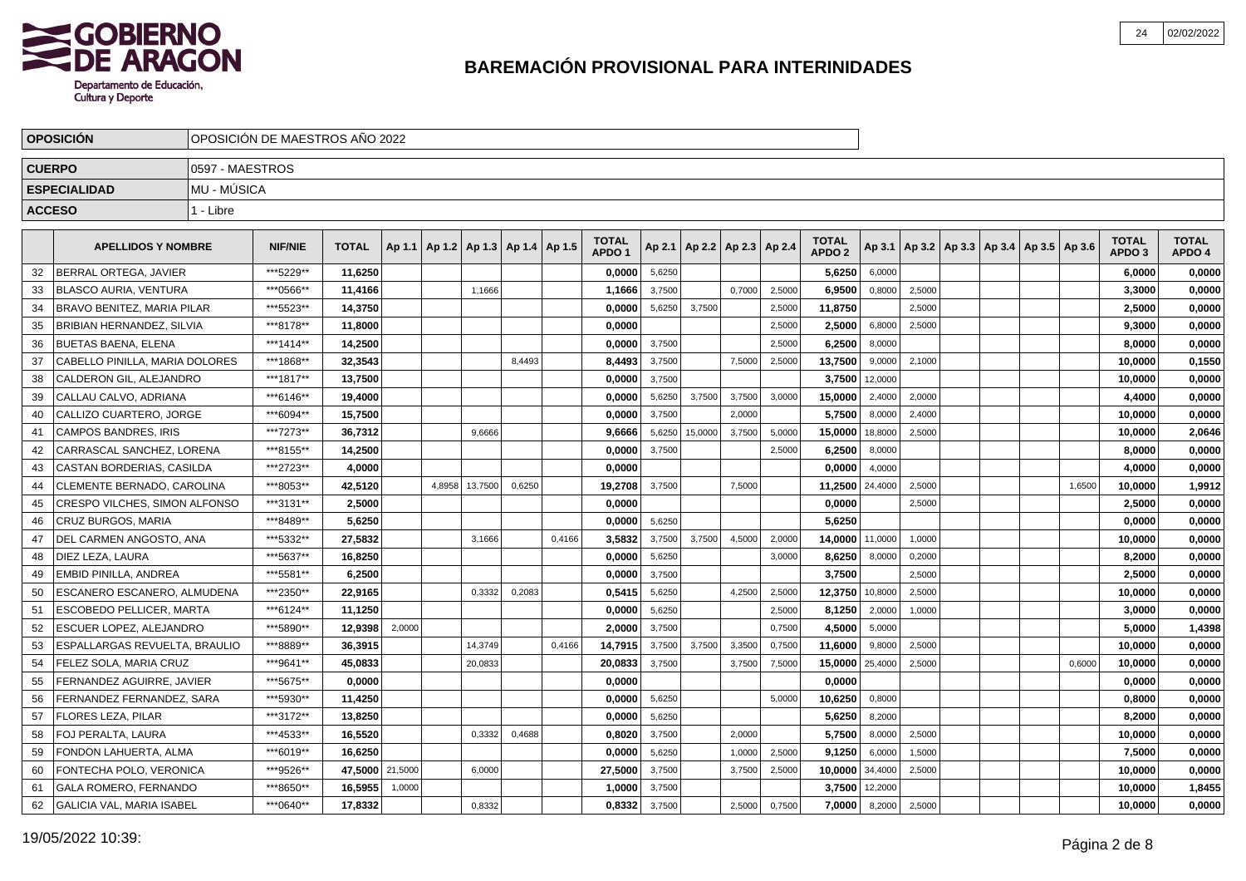

|    | <b>OPOSICIÓN</b>                 | OPOSICIÓN DE MAESTROS AÑO 2022 |                |              |         |        |                                            |        |        |                                   |        |         |                                   |        |                                   |         |        |                                                     |        |                                   |                        |
|----|----------------------------------|--------------------------------|----------------|--------------|---------|--------|--------------------------------------------|--------|--------|-----------------------------------|--------|---------|-----------------------------------|--------|-----------------------------------|---------|--------|-----------------------------------------------------|--------|-----------------------------------|------------------------|
|    | <b>CUERPO</b>                    | 0597 - MAESTROS                |                |              |         |        |                                            |        |        |                                   |        |         |                                   |        |                                   |         |        |                                                     |        |                                   |                        |
|    | <b>ESPECIALIDAD</b>              | MU - MÚSICA                    |                |              |         |        |                                            |        |        |                                   |        |         |                                   |        |                                   |         |        |                                                     |        |                                   |                        |
|    | <b>ACCESO</b>                    | 1 - Libre                      |                |              |         |        |                                            |        |        |                                   |        |         |                                   |        |                                   |         |        |                                                     |        |                                   |                        |
|    |                                  |                                |                |              |         |        |                                            |        |        |                                   |        |         |                                   |        |                                   |         |        |                                                     |        |                                   |                        |
|    | <b>APELLIDOS Y NOMBRE</b>        |                                | <b>NIF/NIE</b> | <b>TOTAL</b> |         |        | Ap 1.1   Ap 1.2   Ap 1.3   Ap 1.4   Ap 1.5 |        |        | <b>TOTAL</b><br>APDO <sub>1</sub> |        |         | Ap 2.1   Ap 2.2   Ap 2.3   Ap 2.4 |        | <b>TOTAL</b><br>APDO <sub>2</sub> |         |        | Ap 3.1   Ap 3.2   Ap 3.3   Ap 3.4   Ap 3.5   Ap 3.6 |        | <b>TOTAL</b><br>APDO <sub>3</sub> | <b>TOTAL</b><br>APDO 4 |
| 32 | <b>BERRAL ORTEGA. JAVIER</b>     |                                | ***5229**      | 11,6250      |         |        |                                            |        |        | 0,0000                            | 5,6250 |         |                                   |        | 5,6250                            | 6,0000  |        |                                                     |        | 6,0000                            | 0,0000                 |
| 33 | <b>BLASCO AURIA, VENTURA</b>     |                                | ***0566**      | 11,4166      |         |        | 1,1666                                     |        |        | 1,1666                            | 3,7500 |         | 0,7000                            | 2,5000 | 6,9500                            | 0,8000  | 2,5000 |                                                     |        | 3,3000                            | 0,0000                 |
| 34 | BRAVO BENITEZ, MARIA PILAR       |                                | ***5523**      | 14,3750      |         |        |                                            |        |        | 0,0000                            | 5,6250 | 3,7500  |                                   | 2,5000 | 11,8750                           |         | 2,5000 |                                                     |        | 2,5000                            | 0,0000                 |
| 35 | BRIBIAN HERNANDEZ, SILVIA        |                                | ***8178**      | 11,8000      |         |        |                                            |        |        | 0,0000                            |        |         |                                   | 2,5000 | 2,5000                            | 6,8000  | 2,5000 |                                                     |        | 9,3000                            | 0,0000                 |
| 36 | <b>BUETAS BAENA, ELENA</b>       |                                | ***1414**      | 14,2500      |         |        |                                            |        |        | 0,0000                            | 3,7500 |         |                                   | 2,5000 | 6,2500                            | 8,0000  |        |                                                     |        | 8,0000                            | 0,0000                 |
| 37 | CABELLO PINILLA, MARIA DOLORES   |                                | ***1868**      | 32,3543      |         |        |                                            | 8.4493 |        | 8,4493                            | 3,7500 |         | 7,5000                            | 2,5000 | 13,7500                           | 9,0000  | 2,1000 |                                                     |        | 10,0000                           | 0,1550                 |
| 38 | CALDERON GIL, ALEJANDRO          |                                | ***1817**      | 13,7500      |         |        |                                            |        |        | 0.0000                            | 3,7500 |         |                                   |        | 3,7500                            | 12,0000 |        |                                                     |        | 10,0000                           | 0,0000                 |
| 39 | CALLAU CALVO, ADRIANA            |                                | ***6146**      | 19,4000      |         |        |                                            |        |        | 0.0000                            | 5,6250 | 3,7500  | 3,7500                            | 3,0000 | 15,0000                           | 2,4000  | 2,0000 |                                                     |        | 4,4000                            | 0,0000                 |
| 40 | CALLIZO CUARTERO, JORGE          |                                | ***6094**      | 15,7500      |         |        |                                            |        |        | 0.0000                            | 3,7500 |         | 2,0000                            |        | 5,7500                            | 8,0000  | 2,4000 |                                                     |        | 10.0000                           | 0,0000                 |
| 41 | <b>CAMPOS BANDRES, IRIS</b>      |                                | ***7273**      | 36,7312      |         |        | 9,6666                                     |        |        | 9,6666                            | 5,6250 | 15,0000 | 3,7500                            | 5,0000 | 15,0000                           | 18,8000 | 2,5000 |                                                     |        | 10,0000                           | 2,0646                 |
| 42 | CARRASCAL SANCHEZ, LORENA        |                                | ***8155**      | 14,2500      |         |        |                                            |        |        | 0,0000                            | 3,7500 |         |                                   | 2,5000 | 6,2500                            | 8,0000  |        |                                                     |        | 8,0000                            | 0,0000                 |
| 43 | CASTAN BORDERIAS, CASILDA        |                                | ***2723**      | 4,0000       |         |        |                                            |        |        | 0,0000                            |        |         |                                   |        | 0,0000                            | 4,0000  |        |                                                     |        | 4,0000                            | 0,0000                 |
| 44 | CLEMENTE BERNADO, CAROLINA       |                                | ***8053**      | 42,5120      |         | 4,8958 | 13,7500                                    | 0,6250 |        | 19,2708                           | 3,7500 |         | 7,5000                            |        | 11,2500                           | 24,4000 | 2,5000 |                                                     | 1,6500 | 10,0000                           | 1,9912                 |
| 45 | CRESPO VILCHES, SIMON ALFONSO    |                                | ***3131**      | 2,5000       |         |        |                                            |        |        | 0,0000                            |        |         |                                   |        | 0,0000                            |         | 2,5000 |                                                     |        | 2,5000                            | 0,0000                 |
| 46 | CRUZ BURGOS, MARIA               |                                | ***8489**      | 5,6250       |         |        |                                            |        |        | 0,0000                            | 5,6250 |         |                                   |        | 5,6250                            |         |        |                                                     |        | 0,0000                            | 0,0000                 |
| 47 | DEL CARMEN ANGOSTO, ANA          |                                | ***5332**      | 27,5832      |         |        | 3,1666                                     |        | 0,4166 | 3,5832                            | 3,7500 | 3,7500  | 4,5000                            | 2,0000 | 14,0000                           | 11,0000 | 1,0000 |                                                     |        | 10,0000                           | 0,0000                 |
| 48 | DIEZ LEZA. LAURA                 |                                | ***5637**      | 16.8250      |         |        |                                            |        |        | 0,0000                            | 5,6250 |         |                                   | 3,0000 | 8,6250                            | 8,0000  | 0,2000 |                                                     |        | 8,2000                            | 0,0000                 |
| 49 | <b>EMBID PINILLA, ANDREA</b>     |                                | ***5581**      | 6,2500       |         |        |                                            |        |        | 0.0000                            | 3,7500 |         |                                   |        | 3,7500                            |         | 2,5000 |                                                     |        | 2.5000                            | 0,0000                 |
| 50 | ESCANERO ESCANERO. ALMUDENA      |                                | ***2350**      | 22.9165      |         |        | 0,3332                                     | 0,2083 |        | 0,5415                            | 5,6250 |         | 4,2500                            | 2,5000 | 12,3750                           | 10,8000 | 2,5000 |                                                     |        | 10,0000                           | 0,0000                 |
| 51 | <b>ESCOBEDO PELLICER, MARTA</b>  |                                | ***6124**      | 11,1250      |         |        |                                            |        |        | 0,0000                            | 5,6250 |         |                                   | 2.5000 | 8,1250                            | 2,0000  | 1,0000 |                                                     |        | 3,0000                            | 0,0000                 |
| 52 | ESCUER LOPEZ, ALEJANDRO          |                                | ***5890**      | 12,9398      | 2,0000  |        |                                            |        |        | 2,0000                            | 3,7500 |         |                                   | 0.7500 | 4,5000                            | 5,0000  |        |                                                     |        | 5,0000                            | 1,4398                 |
| 53 | ESPALLARGAS REVUELTA, BRAULIO    |                                | ***8889**      | 36,3915      |         |        | 14,3749                                    |        | 0,4166 | 14,7915                           | 3,7500 | 3,7500  | 3,3500                            | 0,7500 | 11,6000                           | 9,8000  | 2,5000 |                                                     |        | 10,0000                           | 0,0000                 |
| 54 | FELEZ SOLA, MARIA CRUZ           |                                | ***9641**      | 45,0833      |         |        | 20,0833                                    |        |        | 20,0833                           | 3,7500 |         | 3,7500                            | 7,5000 | 15,0000                           | 25,4000 | 2,5000 |                                                     | 0,6000 | 10,0000                           | 0,0000                 |
| 55 | FERNANDEZ AGUIRRE, JAVIER        |                                | ***5675**      | 0,0000       |         |        |                                            |        |        | 0,0000                            |        |         |                                   |        | 0,0000                            |         |        |                                                     |        | 0,0000                            | 0,0000                 |
| 56 | FERNANDEZ FERNANDEZ, SARA        |                                | ***5930**      | 11,4250      |         |        |                                            |        |        | 0,0000                            | 5,6250 |         |                                   | 5,0000 | 10,6250                           | 0,8000  |        |                                                     |        | 0,8000                            | 0,0000                 |
| 57 | <b>FLORES LEZA, PILAR</b>        |                                | ***3172**      | 13,8250      |         |        |                                            |        |        | 0,0000                            | 5,6250 |         |                                   |        | 5,6250                            | 8,2000  |        |                                                     |        | 8,2000                            | 0,0000                 |
| 58 | FOJ PERALTA, LAURA               |                                | ***4533**      | 16,5520      |         |        | 0,3332                                     | 0,4688 |        | 0,8020                            | 3,7500 |         | 2,0000                            |        | 5,7500                            | 8,0000  | 2,5000 |                                                     |        | 10,0000                           | 0,0000                 |
| 59 | FONDON LAHUERTA, ALMA            |                                | ***6019**      | 16.6250      |         |        |                                            |        |        | 0.0000                            | 5,6250 |         | 1,0000                            | 2.5000 | 9,1250                            | 6,0000  | 1,5000 |                                                     |        | 7,5000                            | 0,0000                 |
| 60 | FONTECHA POLO, VERONICA          |                                | ***9526**      | 47,5000      | 21,5000 |        | 6,0000                                     |        |        | 27,5000                           | 3,7500 |         | 3,7500                            | 2,5000 | 10,0000                           | 34,4000 | 2,5000 |                                                     |        | 10,0000                           | 0,0000                 |
| 61 | <b>GALA ROMERO, FERNANDO</b>     |                                | ***8650**      | 16,5955      | 1,0000  |        |                                            |        |        | 1.0000                            | 3,7500 |         |                                   |        | 3,7500                            | 12,2000 |        |                                                     |        | 10,0000                           | 1,8455                 |
| 62 | <b>GALICIA VAL, MARIA ISABEL</b> |                                | ***0640**      | 17,8332      |         |        | 0,8332                                     |        |        | 0,8332                            | 3,7500 |         | 2,5000                            | 0,7500 | 7.0000                            | 8,2000  | 2,5000 |                                                     |        | 10,0000                           | 0,0000                 |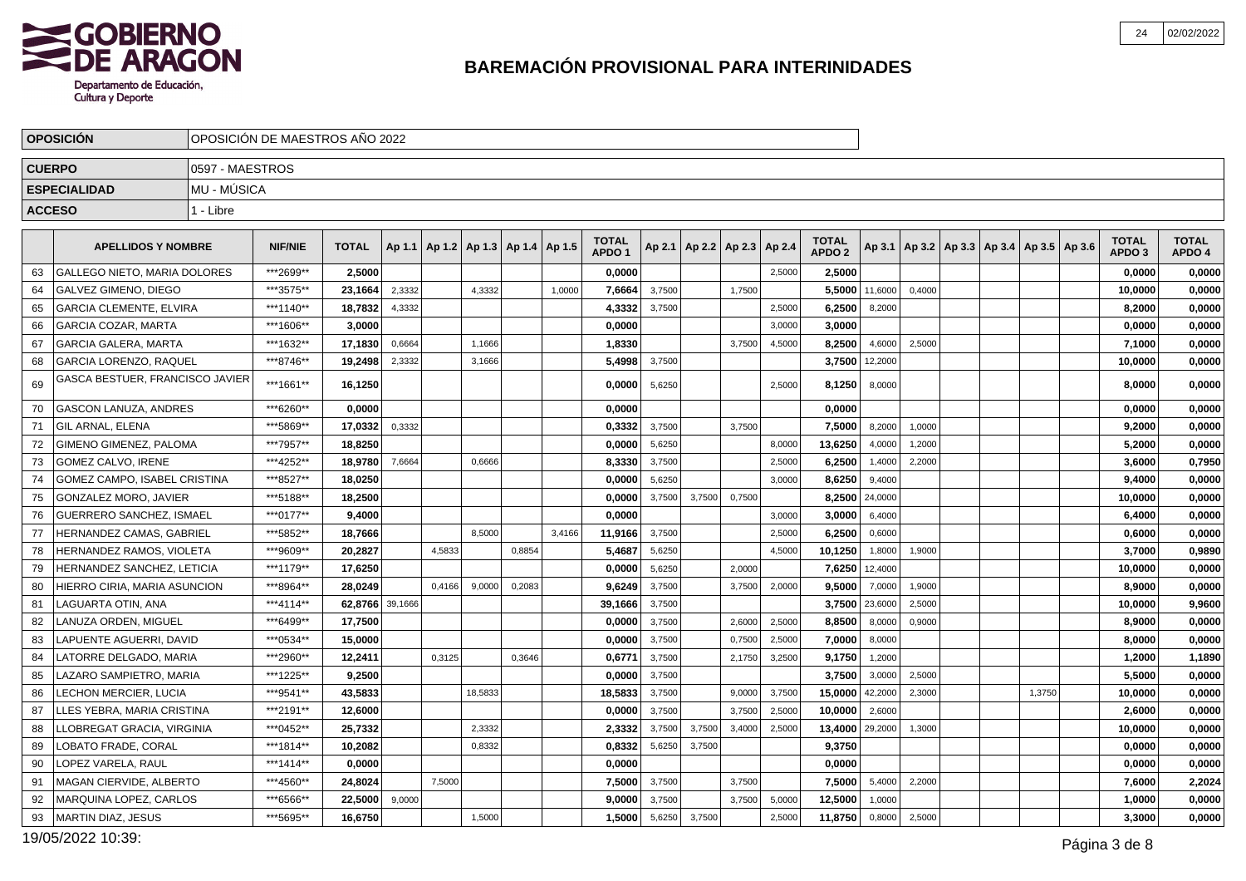

|               | <b>OPOSICIÓN</b>                    |                 | OPOSICIÓN DE MAESTROS AÑO 2022 |                 |        |                                            |         |        |        |                                   |        |        |                                   |        |                                   |         |        |                                                     |        |                                   |                        |
|---------------|-------------------------------------|-----------------|--------------------------------|-----------------|--------|--------------------------------------------|---------|--------|--------|-----------------------------------|--------|--------|-----------------------------------|--------|-----------------------------------|---------|--------|-----------------------------------------------------|--------|-----------------------------------|------------------------|
| <b>CUERPO</b> |                                     | 0597 - MAESTROS |                                |                 |        |                                            |         |        |        |                                   |        |        |                                   |        |                                   |         |        |                                                     |        |                                   |                        |
|               | <b>ESPECIALIDAD</b>                 | MU - MÚSICA     |                                |                 |        |                                            |         |        |        |                                   |        |        |                                   |        |                                   |         |        |                                                     |        |                                   |                        |
| <b>ACCESO</b> |                                     | 1 - Libre       |                                |                 |        |                                            |         |        |        |                                   |        |        |                                   |        |                                   |         |        |                                                     |        |                                   |                        |
|               |                                     |                 |                                |                 |        |                                            |         |        |        |                                   |        |        |                                   |        |                                   |         |        |                                                     |        |                                   |                        |
|               | <b>APELLIDOS Y NOMBRE</b>           |                 | <b>NIF/NIE</b>                 | <b>TOTAL</b>    |        | Ap 1.1   Ap 1.2   Ap 1.3   Ap 1.4   Ap 1.5 |         |        |        | <b>TOTAL</b><br>APDO <sub>1</sub> |        |        | Ap 2.1   Ap 2.2   Ap 2.3   Ap 2.4 |        | <b>TOTAL</b><br>APDO <sub>2</sub> |         |        | Ap 3.1   Ap 3.2   Ap 3.3   Ap 3.4   Ap 3.5   Ap 3.6 |        | <b>TOTAL</b><br>APDO <sub>3</sub> | <b>TOTAL</b><br>APDO 4 |
| 63            | <b>GALLEGO NIETO. MARIA DOLORES</b> |                 | ***2699**                      | 2.5000          |        |                                            |         |        |        | 0.0000                            |        |        |                                   | 2,5000 | 2,5000                            |         |        |                                                     |        | 0.0000                            | 0,0000                 |
| 64            | GALVEZ GIMENO, DIEGO                |                 | ***3575**                      | 23,1664         | 2,3332 |                                            | 4,3332  |        | 1,0000 | 7,6664                            | 3,7500 |        | 1,7500                            |        | 5,5000                            | 11,6000 | 0,4000 |                                                     |        | 10,0000                           | 0,0000                 |
| 65            | <b>GARCIA CLEMENTE, ELVIRA</b>      |                 | ***1140**                      | 18,7832         | 4,3332 |                                            |         |        |        | 4,3332                            | 3,7500 |        |                                   | 2,5000 | 6,2500                            | 8,2000  |        |                                                     |        | 8,2000                            | 0,0000                 |
| 66            | <b>GARCIA COZAR, MARTA</b>          |                 | ***1606**                      | 3,0000          |        |                                            |         |        |        | 0,0000                            |        |        |                                   | 3,0000 | 3,0000                            |         |        |                                                     |        | 0,0000                            | 0,0000                 |
| 67            | <b>GARCIA GALERA, MARTA</b>         |                 | ***1632**                      | 17,1830         | 0,6664 |                                            | 1,1666  |        |        | 1,8330                            |        |        | 3,7500                            | 4,5000 | 8,2500                            | 4,6000  | 2,5000 |                                                     |        | 7,1000                            | 0,0000                 |
| 68            | <b>GARCIA LORENZO, RAQUEL</b>       |                 | ***8746**                      | 19,2498         | 2,3332 |                                            | 3,1666  |        |        | 5,4998                            | 3,7500 |        |                                   |        | 3,7500                            | 12,2000 |        |                                                     |        | 10,0000                           | 0,0000                 |
| 69            | GASCA BESTUER, FRANCISCO JAVIER     |                 | ***1661**                      | 16,1250         |        |                                            |         |        |        | 0,0000                            | 5,6250 |        |                                   | 2,5000 | 8,1250                            | 8,0000  |        |                                                     |        | 8,0000                            | 0,0000                 |
| 70            | <b>GASCON LANUZA, ANDRES</b>        |                 | ***6260**                      | 0.0000          |        |                                            |         |        |        | 0.0000                            |        |        |                                   |        | 0,0000                            |         |        |                                                     |        | 0,0000                            | 0,0000                 |
| 71            | GIL ARNAL, ELENA                    |                 | ***5869**                      | 17,0332         | 0,3332 |                                            |         |        |        | 0,3332                            | 3,7500 |        | 3,7500                            |        | 7,5000                            | 8,2000  | 1,0000 |                                                     |        | 9,2000                            | 0,0000                 |
| 72            | <b>GIMENO GIMENEZ, PALOMA</b>       |                 | ***7957**                      | 18.8250         |        |                                            |         |        |        | 0,0000                            | 5,6250 |        |                                   | 8,0000 | 13,6250                           | 4,0000  | 1,2000 |                                                     |        | 5,2000                            | 0,0000                 |
| 73            | <b>GOMEZ CALVO, IRENE</b>           |                 | ***4252**                      | 18,9780         | 7,6664 |                                            | 0,6666  |        |        | 8,3330                            | 3,7500 |        |                                   | 2,5000 | 6,2500                            | 1,4000  | 2,2000 |                                                     |        | 3,6000                            | 0,7950                 |
| 74            | GOMEZ CAMPO, ISABEL CRISTINA        |                 | ***8527**                      | 18,0250         |        |                                            |         |        |        | 0,0000                            | 5,6250 |        |                                   | 3.0000 | 8,6250                            | 9,4000  |        |                                                     |        | 9,4000                            | 0,0000                 |
| 75            | GONZALEZ MORO, JAVIER               |                 | ***5188**                      | 18,2500         |        |                                            |         |        |        | 0,0000                            | 3,7500 | 3,7500 | 0,7500                            |        | 8,2500                            | 24,0000 |        |                                                     |        | 10,0000                           | 0,0000                 |
| 76            | GUERRERO SANCHEZ, ISMAEL            |                 | ***0177**                      | 9,4000          |        |                                            |         |        |        | 0,0000                            |        |        |                                   | 3,0000 | 3,0000                            | 6,4000  |        |                                                     |        | 6,4000                            | 0,0000                 |
| 77            | HERNANDEZ CAMAS, GABRIEL            |                 | ***5852**                      | 18,7666         |        |                                            | 8,5000  |        | 3,4166 | 11,9166                           | 3,7500 |        |                                   | 2,5000 | 6,2500                            | 0,6000  |        |                                                     |        | 0,6000                            | 0,0000                 |
| 78            | HERNANDEZ RAMOS, VIOLETA            |                 | ***9609**                      | 20,2827         |        | 4,5833                                     |         | 0,8854 |        | 5,4687                            | 5,6250 |        |                                   | 4,5000 | 10,1250                           | 1,8000  | 1,9000 |                                                     |        | 3,7000                            | 0,9890                 |
| 79            | HERNANDEZ SANCHEZ, LETICIA          |                 | ***1179**                      | 17,6250         |        |                                            |         |        |        | 0,0000                            | 5,6250 |        | 2,0000                            |        | 7,6250                            | 12,4000 |        |                                                     |        | 10,0000                           | 0,0000                 |
| 80            | HIERRO CIRIA, MARIA ASUNCION        |                 | ***8964**                      | 28,0249         |        | 0,4166                                     | 9,0000  | 0,2083 |        | 9,6249                            | 3,7500 |        | 3,7500                            | 2,0000 | 9,5000                            | 7,0000  | 1,9000 |                                                     |        | 8,9000                            | 0,0000                 |
| 81            | LAGUARTA OTIN. ANA                  |                 | ***4114**                      | 62,8766 39,1666 |        |                                            |         |        |        | 39,1666                           | 3,7500 |        |                                   |        | 3,7500                            | 23,6000 | 2,5000 |                                                     |        | 10,0000                           | 9,9600                 |
| 82            | LANUZA ORDEN, MIGUEL                |                 | ***6499**                      | 17,7500         |        |                                            |         |        |        | 0,0000                            | 3,7500 |        | 2,6000                            | 2,5000 | 8,8500                            | 8,0000  | 0,9000 |                                                     |        | 8,9000                            | 0,0000                 |
| 83            | LAPUENTE AGUERRI. DAVID             |                 | ***0534**                      | 15.0000         |        |                                            |         |        |        | 0,0000                            | 3,7500 |        | 0,7500                            | 2,5000 | 7,0000                            | 8,0000  |        |                                                     |        | 8,0000                            | 0,0000                 |
| 84            | LATORRE DELGADO, MARIA              |                 | ***2960**                      | 12,2411         |        | 0,3125                                     |         | 0,3646 |        | 0,6771                            | 3,7500 |        | 2,1750                            | 3,2500 | 9,1750                            | 1,2000  |        |                                                     |        | 1,2000                            | 1,1890                 |
| 85            | LAZARO SAMPIETRO, MARIA             |                 | ***1225**                      | 9,2500          |        |                                            |         |        |        | 0,0000                            | 3,7500 |        |                                   |        | 3,7500                            | 3,0000  | 2,5000 |                                                     |        | 5,5000                            | 0,0000                 |
| 86            | LECHON MERCIER, LUCIA               |                 | ***9541**                      | 43,5833         |        |                                            | 18,5833 |        |        | 18,5833                           | 3,7500 |        | 9,0000                            | 3,7500 | 15,0000                           | 42,2000 | 2,3000 |                                                     | 1,3750 | 10,0000                           | 0,0000                 |
| 87            | LLES YEBRA, MARIA CRISTINA          |                 | ***2191**                      | 12,6000         |        |                                            |         |        |        | 0,0000                            | 3,7500 |        | 3,7500                            | 2,5000 | 10,0000                           | 2,6000  |        |                                                     |        | 2,6000                            | 0,0000                 |
| 88            | LLOBREGAT GRACIA, VIRGINIA          |                 | ***0452**                      | 25,7332         |        |                                            | 2,3332  |        |        | 2,3332                            | 3,7500 | 3,7500 | 3,4000                            | 2,5000 | 13,4000                           | 29,2000 | 1,3000 |                                                     |        | 10,0000                           | 0,0000                 |
| 89            | LOBATO FRADE, CORAL                 |                 | ***1814**                      | 10,2082         |        |                                            | 0,8332  |        |        | 0,8332                            | 5,6250 | 3,7500 |                                   |        | 9,3750                            |         |        |                                                     |        | 0,0000                            | 0,0000                 |
| 90            | LOPEZ VARELA, RAUL                  |                 | ***1414**                      | 0,0000          |        |                                            |         |        |        | 0,0000                            |        |        |                                   |        | 0.0000                            |         |        |                                                     |        | 0,0000                            | 0,0000                 |
| 91            | MAGAN CIERVIDE, ALBERTO             |                 | ***4560**                      | 24,8024         |        | 7,5000                                     |         |        |        | 7,5000                            | 3,7500 |        | 3,7500                            |        | 7,5000                            | 5,4000  | 2,2000 |                                                     |        | 7,6000                            | 2,2024                 |
| 92            | MARQUINA LOPEZ, CARLOS              |                 | ***6566**                      | 22,5000         | 9,0000 |                                            |         |        |        | 9.0000                            | 3,7500 |        | 3,7500                            | 5,0000 | 12,5000                           | 1,0000  |        |                                                     |        | 1,0000                            | 0,0000                 |
| 93            | <b>MARTIN DIAZ, JESUS</b>           |                 | ***5695**                      | 16,6750         |        |                                            | 1,5000  |        |        | 1,5000                            | 5,6250 | 3,7500 |                                   | 2,5000 | 11,8750                           | 0,8000  | 2,5000 |                                                     |        | 3,3000                            | 0,0000                 |

19/05/2022 10:39:Página 3 de 8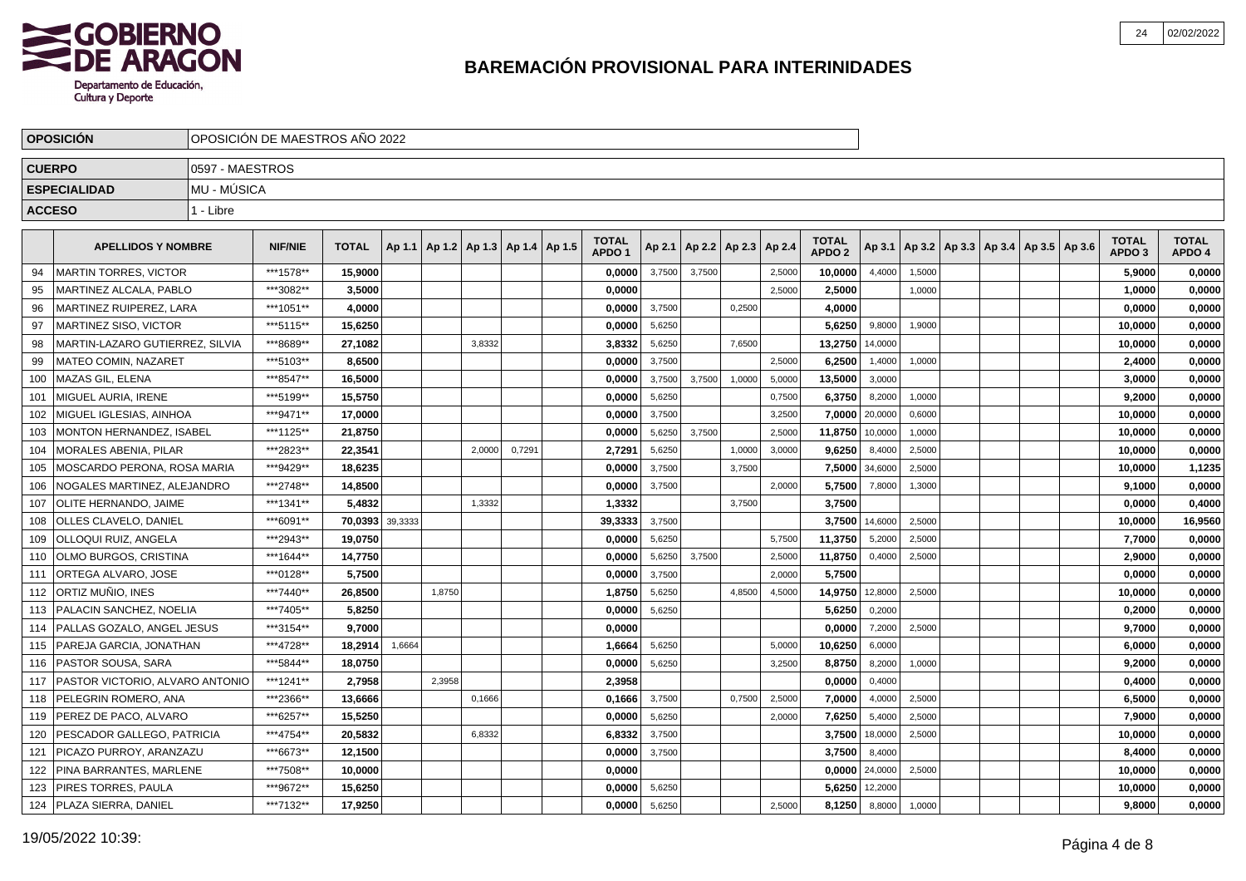

|               | <b>OPOSICIÓN</b>                |                 | OPOSICIÓN DE MAESTROS AÑO 2022 |                 |        |                                            |        |        |                                   |        |        |                          |        |                                   |         |        |  |                                                     |                                   |                        |
|---------------|---------------------------------|-----------------|--------------------------------|-----------------|--------|--------------------------------------------|--------|--------|-----------------------------------|--------|--------|--------------------------|--------|-----------------------------------|---------|--------|--|-----------------------------------------------------|-----------------------------------|------------------------|
| <b>CUERPO</b> |                                 | 0597 - MAESTROS |                                |                 |        |                                            |        |        |                                   |        |        |                          |        |                                   |         |        |  |                                                     |                                   |                        |
|               | <b>ESPECIALIDAD</b>             | MU - MÚSICA     |                                |                 |        |                                            |        |        |                                   |        |        |                          |        |                                   |         |        |  |                                                     |                                   |                        |
| <b>ACCESO</b> |                                 | 1 - Libre       |                                |                 |        |                                            |        |        |                                   |        |        |                          |        |                                   |         |        |  |                                                     |                                   |                        |
|               |                                 |                 |                                |                 |        |                                            |        |        |                                   |        |        |                          |        |                                   |         |        |  |                                                     |                                   |                        |
|               | <b>APELLIDOS Y NOMBRE</b>       |                 | <b>NIF/NIE</b>                 | <b>TOTAL</b>    |        | Ap 1.1   Ap 1.2   Ap 1.3   Ap 1.4   Ap 1.5 |        |        | <b>TOTAL</b><br>APDO <sub>1</sub> | Ap 2.1 |        | Ap 2.2   Ap 2.3   Ap 2.4 |        | <b>TOTAL</b><br>APDO <sub>2</sub> |         |        |  | Ap 3.1   Ap 3.2   Ap 3.3   Ap 3.4   Ap 3.5   Ap 3.6 | <b>TOTAL</b><br>APDO <sub>3</sub> | <b>TOTAL</b><br>APDO 4 |
| 94            | <b>MARTIN TORRES, VICTOR</b>    |                 | ***1578**                      | 15,9000         |        |                                            |        |        | 0,0000                            | 3,7500 | 3,7500 |                          | 2,5000 | 10,0000                           | 4,4000  | 1,5000 |  |                                                     | 5,9000                            | 0,0000                 |
| 95            | MARTINEZ ALCALA, PABLO          |                 | ***3082**                      | 3,5000          |        |                                            |        |        | 0,0000                            |        |        |                          | 2,5000 | 2,5000                            |         | 1,0000 |  |                                                     | 1,0000                            | 0,0000                 |
| 96            | MARTINEZ RUIPEREZ, LARA         |                 | ***1051**                      | 4,0000          |        |                                            |        |        | 0,0000                            | 3,7500 |        | 0,2500                   |        | 4,0000                            |         |        |  |                                                     | 0,0000                            | 0,0000                 |
| 97            | MARTINEZ SISO, VICTOR           |                 | ***5115**                      | 15,6250         |        |                                            |        |        | 0,0000                            | 5,6250 |        |                          |        | 5,6250                            | 9,8000  | 1,9000 |  |                                                     | 10,0000                           | 0,0000                 |
| 98            | MARTIN-LAZARO GUTIERREZ, SILVIA |                 | ***8689**                      | 27,1082         |        |                                            | 3,8332 |        | 3,8332                            | 5,6250 |        | 7,6500                   |        | 13,2750                           | 14,0000 |        |  |                                                     | 10,0000                           | 0,0000                 |
| 99            | <b>MATEO COMIN, NAZARET</b>     |                 | ***5103**                      | 8,6500          |        |                                            |        |        | 0,0000                            | 3,7500 |        |                          | 2,5000 | 6,2500                            | 1,4000  | 1,0000 |  |                                                     | 2,4000                            | 0,0000                 |
| 100           | <b>IMAZAS GIL. ELENA</b>        |                 | ***8547**                      | 16.5000         |        |                                            |        |        | 0.0000                            | 3,7500 | 3.7500 | 1,0000                   | 5,0000 | 13,5000                           | 3,0000  |        |  |                                                     | 3,0000                            | 0,0000                 |
| 101           | l MIGUEL AURIA. IRENE           |                 | ***5199**                      | 15.5750         |        |                                            |        |        | 0.0000                            | 5,6250 |        |                          | 0,7500 | 6,3750                            | 8,2000  | 1,0000 |  |                                                     | 9.2000                            | 0,0000                 |
| 102           | MIGUEL IGLESIAS, AINHOA         |                 | ***9471**                      | 17,0000         |        |                                            |        |        | 0,0000                            | 3,7500 |        |                          | 3,2500 | 7,0000                            | 20,0000 | 0,6000 |  |                                                     | 10,0000                           | 0,0000                 |
| 103           | MONTON HERNANDEZ. ISABEL        |                 | ***1125**                      | 21.8750         |        |                                            |        |        | 0,0000                            | 5,6250 | 3.7500 |                          | 2,5000 | 11,8750                           | 10,0000 | 1,0000 |  |                                                     | 10.0000                           | 0,0000                 |
| 104           | <b>IMORALES ABENIA. PILAR</b>   |                 | ***2823**                      | 22,3541         |        |                                            | 2,0000 | 0,7291 | 2,7291                            | 5,6250 |        | 1,0000                   | 3,0000 | 9,6250                            | 8,4000  | 2,5000 |  |                                                     | 10,0000                           | 0,0000                 |
| 105           | MOSCARDO PERONA. ROSA MARIA     |                 | ***9429**                      | 18,6235         |        |                                            |        |        | 0,0000                            | 3,7500 |        | 3,7500                   |        | 7,5000                            | 34,6000 | 2,5000 |  |                                                     | 10,0000                           | 1,1235                 |
| 106           | NOGALES MARTINEZ, ALEJANDRO     |                 | ***2748**                      | 14,8500         |        |                                            |        |        | 0,0000                            | 3,7500 |        |                          | 2,0000 | 5,7500                            | 7,8000  | 1,3000 |  |                                                     | 9,1000                            | 0,0000                 |
| 107           | <b>OLITE HERNANDO, JAIME</b>    |                 | ***1341**                      | 5,4832          |        |                                            | 1,3332 |        | 1,3332                            |        |        | 3,7500                   |        | 3,7500                            |         |        |  |                                                     | 0,0000                            | 0,4000                 |
| 108           | <b>OLLES CLAVELO, DANIEL</b>    |                 | ***6091**                      | 70,0393 39,3333 |        |                                            |        |        | 39,3333                           | 3,7500 |        |                          |        | 3,7500                            | 14,6000 | 2,5000 |  |                                                     | 10,0000                           | 16,9560                |
| 109           | <b>OLLOQUI RUIZ, ANGELA</b>     |                 | ***2943**                      | 19,0750         |        |                                            |        |        | 0,0000                            | 5,6250 |        |                          | 5,7500 | 11,3750                           | 5,2000  | 2,5000 |  |                                                     | 7,7000                            | 0,0000                 |
| 110           | OLMO BURGOS, CRISTINA           |                 | ***1644**                      | 14,7750         |        |                                            |        |        | 0,0000                            | 5,6250 | 3.7500 |                          | 2.5000 | 11,8750                           | 0,4000  | 2,5000 |  |                                                     | 2,9000                            | 0,0000                 |
| 111           | <b>ORTEGA ALVARO. JOSE</b>      |                 | ***0128**                      | 5.7500          |        |                                            |        |        | 0,0000                            | 3,7500 |        |                          | 2,0000 | 5,7500                            |         |        |  |                                                     | 0.0000                            | 0,0000                 |
| 112           | IORTIZ MUÑIO. INES              |                 | ***7440**                      | 26.8500         |        | 1.8750                                     |        |        | 1,8750                            | 5,6250 |        | 4,8500                   | 4,5000 | 14,9750                           | 12,8000 | 2,5000 |  |                                                     | 10,0000                           | 0,0000                 |
| 113           | <b>PALACIN SANCHEZ, NOELIA</b>  |                 | ***7405**                      | 5,8250          |        |                                            |        |        | 0,0000                            | 5,6250 |        |                          |        | 5,6250                            | 0,2000  |        |  |                                                     | 0,2000                            | 0,0000                 |
| 114           | PALLAS GOZALO. ANGEL JESUS      |                 | ***3154**                      | 9.7000          |        |                                            |        |        | 0.0000                            |        |        |                          |        | 0,0000                            | 7,2000  | 2,5000 |  |                                                     | 9,7000                            | 0,0000                 |
| 115           | PAREJA GARCIA, JONATHAN         |                 | ***4728**                      | 18,2914         | 1,6664 |                                            |        |        | 1,6664                            | 5,6250 |        |                          | 5,0000 | 10,6250                           | 6,0000  |        |  |                                                     | 6,0000                            | 0,0000                 |
| 116           | PASTOR SOUSA, SARA              |                 | ***5844**                      | 18,0750         |        |                                            |        |        | 0,0000                            | 5,6250 |        |                          | 3,2500 | 8,8750                            | 8,2000  | 1,0000 |  |                                                     | 9,2000                            | 0,0000                 |
| 117           | PASTOR VICTORIO, ALVARO ANTONIO |                 | ***1241**                      | 2,7958          |        | 2,3958                                     |        |        | 2,3958                            |        |        |                          |        | 0,0000                            | 0,4000  |        |  |                                                     | 0,4000                            | 0,0000                 |
| 118           | <b>PELEGRIN ROMERO, ANA</b>     |                 | ***2366**                      | 13,6666         |        |                                            | 0,1666 |        | 0,1666                            | 3,7500 |        | 0,7500                   | 2,5000 | 7,0000                            | 4,0000  | 2,5000 |  |                                                     | 6,5000                            | 0,0000                 |
| 119           | PEREZ DE PACO, ALVARO           |                 | ***6257**                      | 15,5250         |        |                                            |        |        | 0,0000                            | 5,6250 |        |                          | 2,0000 | 7,6250                            | 5,4000  | 2,5000 |  |                                                     | 7,9000                            | 0,0000                 |
| 120           | PESCADOR GALLEGO, PATRICIA      |                 | ***4754**                      | 20,5832         |        |                                            | 6,8332 |        | 6,8332                            | 3,7500 |        |                          |        | 3,7500                            | 18,0000 | 2,5000 |  |                                                     | 10,0000                           | 0,0000                 |
| 121           | <b>PICAZO PURROY, ARANZAZU</b>  |                 | ***6673**                      | 12.1500         |        |                                            |        |        | 0.0000                            | 3,7500 |        |                          |        | 3.7500                            | 8,4000  |        |  |                                                     | 8.4000                            | 0,0000                 |
| 122           | <b>PINA BARRANTES, MARLENE</b>  |                 | ***7508**                      | 10.0000         |        |                                            |        |        | 0,0000                            |        |        |                          |        | 0,0000                            | 24,0000 | 2,5000 |  |                                                     | 10,0000                           | 0,0000                 |
| 123           | <b>IPIRES TORRES, PAULA</b>     |                 | ***9672**                      | 15,6250         |        |                                            |        |        | 0.0000                            | 5,6250 |        |                          |        | 5,6250                            | 12,2000 |        |  |                                                     | 10,0000                           | 0,0000                 |
|               | 124   PLAZA SIERRA, DANIEL      |                 | ***7132**                      | 17,9250         |        |                                            |        |        | 0.0000                            | 5,6250 |        |                          | 2,5000 | 8,1250                            | 8,8000  | 1,0000 |  |                                                     | 9.8000                            | 0,0000                 |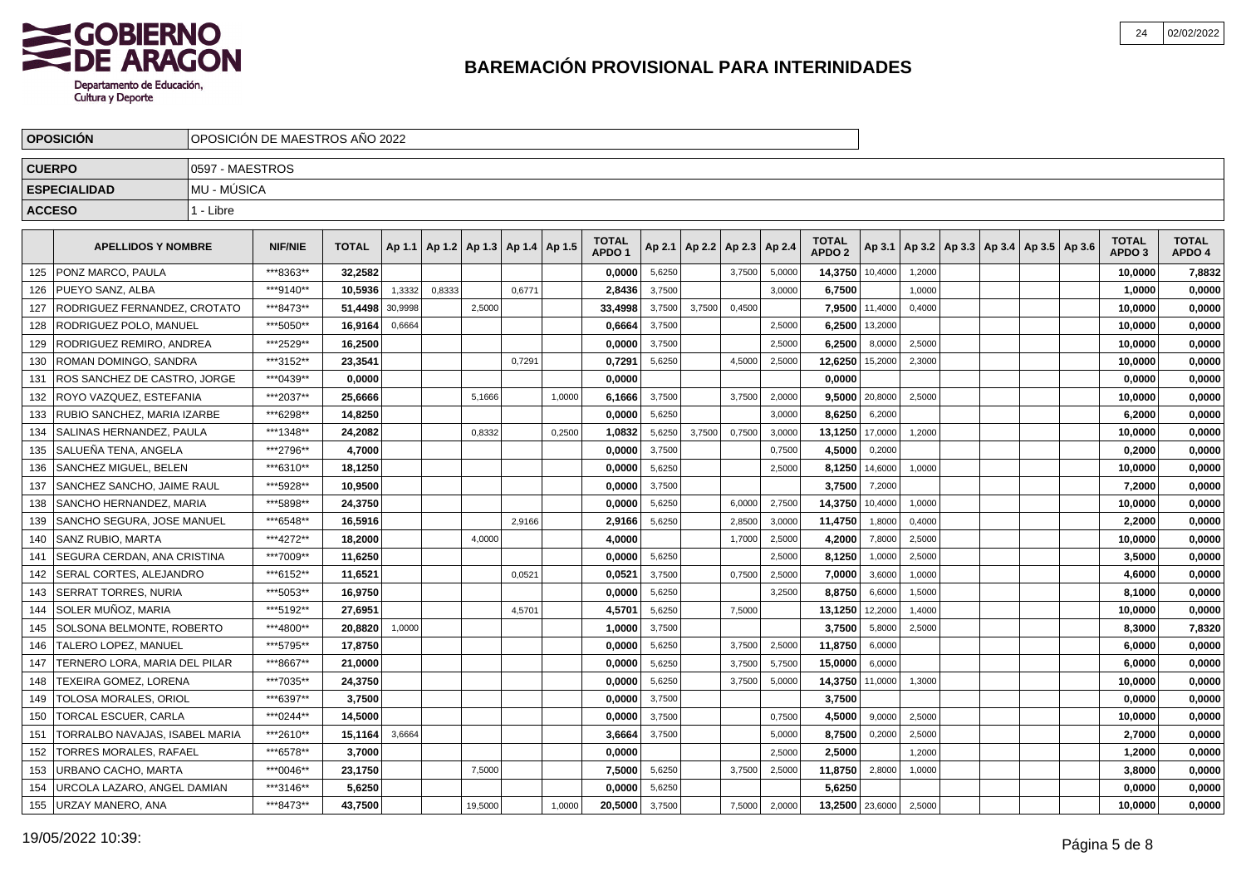

|               | <b>OPOSICIÓN</b>                    |                 | OPOSICIÓN DE MAESTROS AÑO 2022 |              |         |        |                                   |        |        |                                   |        |        |                          |        |                                   |                |        |                                            |  |                                   |                        |
|---------------|-------------------------------------|-----------------|--------------------------------|--------------|---------|--------|-----------------------------------|--------|--------|-----------------------------------|--------|--------|--------------------------|--------|-----------------------------------|----------------|--------|--------------------------------------------|--|-----------------------------------|------------------------|
| <b>CUERPO</b> |                                     | 0597 - MAESTROS |                                |              |         |        |                                   |        |        |                                   |        |        |                          |        |                                   |                |        |                                            |  |                                   |                        |
|               | <b>ESPECIALIDAD</b>                 | MU - MÚSICA     |                                |              |         |        |                                   |        |        |                                   |        |        |                          |        |                                   |                |        |                                            |  |                                   |                        |
| <b>ACCESO</b> |                                     | 1 - Libre       |                                |              |         |        |                                   |        |        |                                   |        |        |                          |        |                                   |                |        |                                            |  |                                   |                        |
|               |                                     |                 |                                |              |         |        |                                   |        |        |                                   |        |        |                          |        |                                   |                |        |                                            |  |                                   |                        |
|               | <b>APELLIDOS Y NOMBRE</b>           |                 | <b>NIF/NIE</b>                 | <b>TOTAL</b> | Ap 1.1  |        | Ap 1.2   Ap 1.3   Ap 1.4   Ap 1.5 |        |        | <b>TOTAL</b><br>APDO <sub>1</sub> | Ap 2.1 |        | Ap 2.2   Ap 2.3   Ap 2.4 |        | <b>TOTAL</b><br>APDO <sub>2</sub> | Ap 3.1         |        | Ap 3.2   Ap 3.3   Ap 3.4   Ap 3.5   Ap 3.6 |  | <b>TOTAL</b><br>APDO <sub>3</sub> | <b>TOTAL</b><br>APDO 4 |
| 125           | PONZ MARCO. PAULA                   |                 | ***8363**                      | 32.2582      |         |        |                                   |        |        | 0.0000                            | 5,6250 |        | 3,7500                   | 5,0000 | 14,3750                           | 10,4000        | 1.2000 |                                            |  | 10,0000                           | 7,8832                 |
| 126           | PUEYO SANZ. ALBA                    |                 | ***9140**                      | 10.5936      | 1,3332  | 0,8333 |                                   | 0.6771 |        | 2.8436                            | 3,7500 |        |                          | 3.0000 | 6,7500                            |                | 1,0000 |                                            |  | 1.0000                            | 0,0000                 |
| 127           | RODRIGUEZ FERNANDEZ, CROTATO        |                 | ***8473**                      | 51.4498      | 30,9998 |        | 2,5000                            |        |        | 33,4998                           | 3,7500 | 3.7500 | 0,4500                   |        | 7,9500                            | 11,4000        | 0,4000 |                                            |  | 10,0000                           | 0,0000                 |
| 128           | RODRIGUEZ POLO, MANUEL              |                 | ***5050**                      | 16.9164      | 0,6664  |        |                                   |        |        | 0.6664                            | 3,7500 |        |                          | 2.5000 | 6,2500                            | 13,2000        |        |                                            |  | 10,0000                           | 0,0000                 |
| 129           | RODRIGUEZ REMIRO, ANDREA            |                 | ***2529**                      | 16.2500      |         |        |                                   |        |        | 0.0000                            | 3,7500 |        |                          | 2.5000 | 6,2500                            | 8,0000         | 2,5000 |                                            |  | 10,0000                           | 0,0000                 |
| 130           | ROMAN DOMINGO, SANDRA               |                 | ***3152**                      | 23,3541      |         |        |                                   | 0.7291 |        | 0,7291                            | 5,6250 |        | 4,5000                   | 2,5000 | 12,6250                           | 15,2000        | 2,3000 |                                            |  | 10,0000                           | 0,0000                 |
| 131           | ROS SANCHEZ DE CASTRO, JORGE        |                 | ***0439**                      | 0.0000       |         |        |                                   |        |        | 0.0000                            |        |        |                          |        | 0.0000                            |                |        |                                            |  | 0,0000                            | 0,0000                 |
| 132           | ROYO VAZQUEZ, ESTEFANIA             |                 | ***2037**                      | 25,6666      |         |        | 5,1666                            |        | 1,0000 | 6,1666                            | 3,7500 |        | 3,7500                   | 2,0000 |                                   | 9,5000 20,8000 | 2,5000 |                                            |  | 10,0000                           | 0,0000                 |
| 133           | RUBIO SANCHEZ, MARIA IZARBE         |                 | ***6298**                      | 14,8250      |         |        |                                   |        |        | 0.0000                            | 5,6250 |        |                          | 3,0000 | 8,6250                            | 6,2000         |        |                                            |  | 6,2000                            | 0,0000                 |
| 134           | l SALINAS HERNANDEZ. PAULA          |                 | ***1348**                      | 24,2082      |         |        | 0,8332                            |        | 0,2500 | 1,0832                            | 5,6250 | 3,7500 | 0,7500                   | 3,0000 | 13,1250                           | 17,0000        | 1,2000 |                                            |  | 10,0000                           | 0,0000                 |
| 135           | ***2796**<br>l SALUEÑA TENA. ANGELA |                 |                                | 4,7000       |         |        |                                   |        |        | 0,0000                            | 3,7500 |        |                          | 0,7500 | 4,5000                            | 0,2000         |        |                                            |  | 0,2000                            | 0,0000                 |
| 136           | <b>SANCHEZ MIGUEL. BELEN</b>        |                 | ***6310**                      | 18,1250      |         |        |                                   |        |        | 0,0000                            | 5,6250 |        |                          | 2,5000 | 8,1250                            | 14,6000        | 1,0000 |                                            |  | 10,0000                           | 0,0000                 |
| 137           | SANCHEZ SANCHO, JAIME RAUL          |                 | ***5928**                      | 10,9500      |         |        |                                   |        |        | 0,0000                            | 3,7500 |        |                          |        | 3,7500                            | 7,2000         |        |                                            |  | 7,2000                            | 0,0000                 |
| 138           | SANCHO HERNANDEZ, MARIA             |                 | ***5898**                      | 24,3750      |         |        |                                   |        |        | 0,0000                            | 5,6250 |        | 6,0000                   | 2,7500 | 14,3750                           | 10,4000        | 1,0000 |                                            |  | 10,0000                           | 0,0000                 |
| 139           | SANCHO SEGURA, JOSE MANUEL          |                 | ***6548**                      | 16,5916      |         |        |                                   | 2,9166 |        | 2,9166                            | 5,6250 |        | 2,8500                   | 3,0000 | 11,4750                           | 1,8000         | 0,4000 |                                            |  | 2,2000                            | 0,0000                 |
| 140           | <b>SANZ RUBIO, MARTA</b>            |                 | ***4272**                      | 18,2000      |         |        | 4,0000                            |        |        | 4,0000                            |        |        | 1,7000                   | 2,5000 | 4,2000                            | 7,8000         | 2,5000 |                                            |  | 10,0000                           | 0,0000                 |
| 141           | SEGURA CERDAN, ANA CRISTINA         |                 | ***7009**                      | 11,6250      |         |        |                                   |        |        | 0,0000                            | 5,6250 |        |                          | 2,5000 | 8,1250                            | 1,0000         | 2,5000 |                                            |  | 3,5000                            | 0,0000                 |
| 142           | SERAL CORTES, ALEJANDRO             |                 | ***6152**                      | 11,6521      |         |        |                                   | 0,0521 |        | 0,0521                            | 3,7500 |        | 0,7500                   | 2,5000 | 7,0000                            | 3,6000         | 1,0000 |                                            |  | 4,6000                            | 0,0000                 |
| 143           | <b>SERRAT TORRES, NURIA</b>         |                 | ***5053**                      | 16,9750      |         |        |                                   |        |        | 0,0000                            | 5,6250 |        |                          | 3,2500 | 8,8750                            | 6,6000         | 1,5000 |                                            |  | 8,1000                            | 0,0000                 |
| 144           | SOLER MUÑOZ, MARIA                  |                 | ***5192**                      | 27,6951      |         |        |                                   | 4,5701 |        | 4,5701                            | 5,6250 |        | 7,5000                   |        | 13,1250                           | 12,2000        | 1,4000 |                                            |  | 10,0000                           | 0,0000                 |
| 145           | SOLSONA BELMONTE, ROBERTO           |                 | ***4800**                      | 20,8820      | 1,0000  |        |                                   |        |        | 1,0000                            | 3,7500 |        |                          |        | 3,7500                            | 5,8000         | 2,5000 |                                            |  | 8,3000                            | 7,8320                 |
| 146           | TALERO LOPEZ, MANUEL                |                 | ***5795**                      | 17,8750      |         |        |                                   |        |        | 0,0000                            | 5,6250 |        | 3.7500                   | 2.5000 | 11,8750                           | 6,0000         |        |                                            |  | 6,0000                            | 0,0000                 |
| 147           | TERNERO LORA, MARIA DEL PILAR       |                 | ***8667**                      | 21.0000      |         |        |                                   |        |        | 0.0000                            | 5,6250 |        | 3,7500                   | 5,7500 | 15,0000                           | 6,0000         |        |                                            |  | 6.0000                            | 0,0000                 |
| 148           | TEXEIRA GOMEZ. LORENA               |                 | ***7035**                      | 24,3750      |         |        |                                   |        |        | 0.0000                            | 5,6250 |        | 3,7500                   | 5,0000 | 14,3750                           | 11,0000        | 1,3000 |                                            |  | 10,0000                           | 0,0000                 |
| 149           | <b>TOLOSA MORALES, ORIOL</b>        |                 | ***6397**                      | 3,7500       |         |        |                                   |        |        | 0.0000                            | 3,7500 |        |                          |        | 3,7500                            |                |        |                                            |  | 0.0000                            | 0,0000                 |
| 150           | TORCAL ESCUER, CARLA                |                 | ***0244**                      | 14.5000      |         |        |                                   |        |        | 0.0000                            | 3,7500 |        |                          | 0.7500 | 4,5000                            | 9,0000         | 2,5000 |                                            |  | 10.0000                           | 0,0000                 |
| 151           | TORRALBO NAVAJAS, ISABEL MARIA      |                 | ***2610**                      | 15,1164      | 3,6664  |        |                                   |        |        | 3,6664                            | 3,7500 |        |                          | 5.0000 | 8,7500                            | 0,2000         | 2,5000 |                                            |  | 2,7000                            | 0,0000                 |
| 152           | <b>TORRES MORALES, RAFAEL</b>       |                 | ***6578**                      | 3,7000       |         |        |                                   |        |        | 0.0000                            |        |        |                          | 2.5000 | 2,5000                            |                | 1,2000 |                                            |  | 1,2000                            | 0,0000                 |
| 153           | I URBANO CACHO. MARTA               |                 | ***0046**                      | 23,1750      |         |        | 7,5000                            |        |        | 7,5000                            | 5,6250 |        | 3,7500                   | 2,5000 | 11,8750                           | 2,8000         | 1,0000 |                                            |  | 3,8000                            | 0,0000                 |
| 154           | URCOLA LAZARO, ANGEL DAMIAN         |                 | ***3146**                      | 5,6250       |         |        |                                   |        |        | 0,0000                            | 5,6250 |        |                          |        | 5,6250                            |                |        |                                            |  | 0.0000                            | 0,0000                 |
| 155           | <b>URZAY MANERO, ANA</b>            |                 | ***8473**                      | 43,7500      |         |        | 19,5000                           |        | 1,0000 | 20,5000                           | 3,7500 |        | 7,5000                   | 2,0000 | 13,2500 23,6000                   |                | 2,5000 |                                            |  | 10,0000                           | 0,0000                 |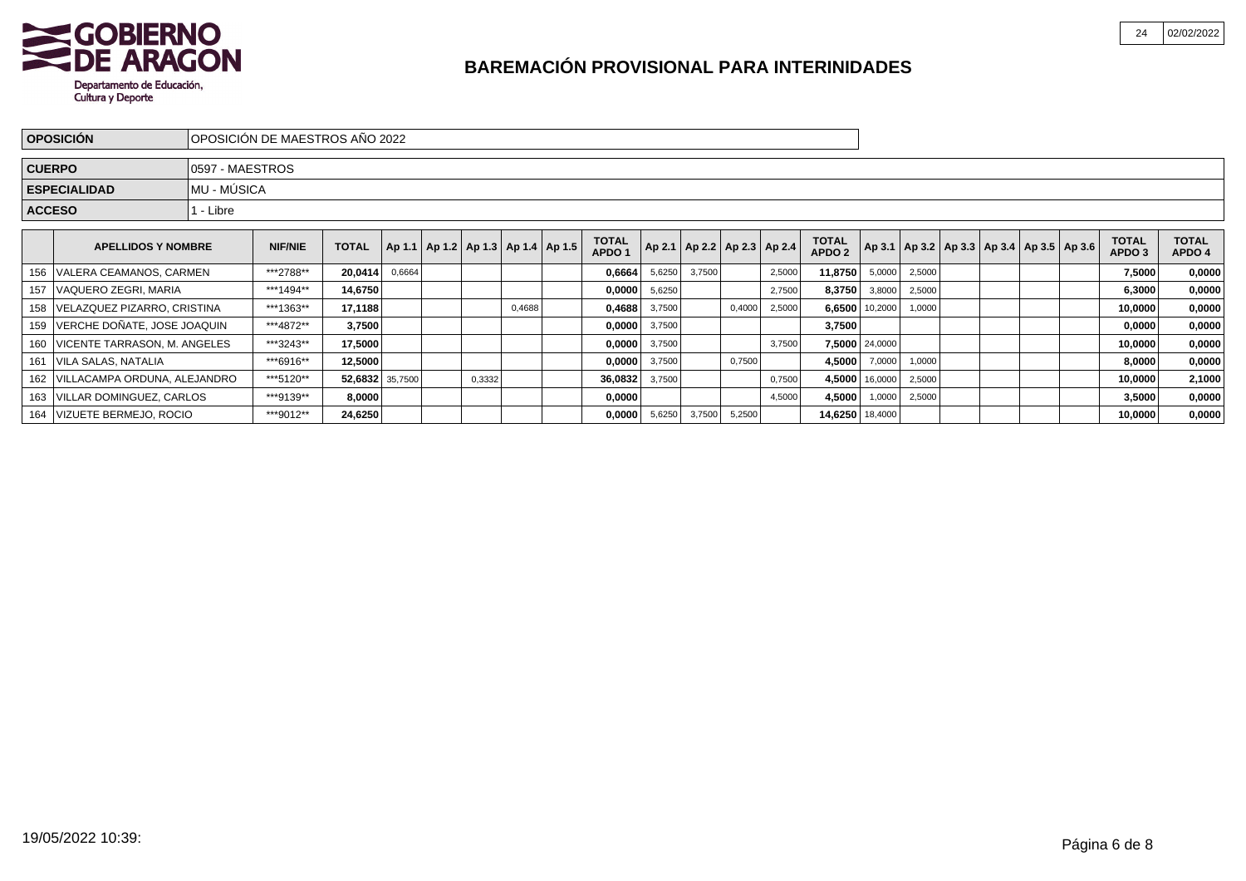

| <b>OPOSICIÓN</b><br>IOPOSICIÓN DE MAESTROS AÑO 2022 |                                             |                 |                 |         |                                            |        |  |        |                                   |        |        |                                   |        |                                   |                   |                |                                                     |  |                        |                        |        |
|-----------------------------------------------------|---------------------------------------------|-----------------|-----------------|---------|--------------------------------------------|--------|--|--------|-----------------------------------|--------|--------|-----------------------------------|--------|-----------------------------------|-------------------|----------------|-----------------------------------------------------|--|------------------------|------------------------|--------|
|                                                     | <b>CUERPO</b>                               | 0597 - MAESTROS |                 |         |                                            |        |  |        |                                   |        |        |                                   |        |                                   |                   |                |                                                     |  |                        |                        |        |
|                                                     | <b>ESPECIALIDAD</b>                         | MU - MÚSICA     |                 |         |                                            |        |  |        |                                   |        |        |                                   |        |                                   |                   |                |                                                     |  |                        |                        |        |
|                                                     | <b>ACCESO</b>                               | l - Libre       |                 |         |                                            |        |  |        |                                   |        |        |                                   |        |                                   |                   |                |                                                     |  |                        |                        |        |
|                                                     | <b>APELLIDOS Y NOMBRE</b>                   | <b>NIF/NIE</b>  | <b>TOTAL</b>    |         | Ap 1.1   Ap 1.2   Ap 1.3   Ap 1.4   Ap 1.5 |        |  |        | <b>TOTAL</b><br>APDO <sub>1</sub> |        |        | Ap 2.1   Ap 2.2   Ap 2.3   Ap 2.4 |        | <b>TOTAL</b><br>APDO <sub>2</sub> |                   |                | Ap 3.1   Ap 3.2   Ap 3.3   Ap 3.4   Ap 3.5   Ap 3.6 |  | <b>TOTAL</b><br>APDO 3 | <b>TOTAL</b><br>APDO 4 |        |
|                                                     | 156   VALERA CEAMANOS, CARMEN               |                 | ***2788**       | 20,0414 | 0,6664                                     |        |  |        |                                   | 0,6664 | 5,6250 | 3,7500                            |        | 2,5000                            | 11,8750           | 5,0000         | 2,5000                                              |  |                        | 7,5000                 | 0,0000 |
|                                                     | 157   VAQUERO ZEGRI, MARIA                  |                 | ***1494**       | 14,6750 |                                            |        |  |        |                                   | 0,0000 | 5,6250 |                                   |        | 2,7500                            | 8,3750            | 3,8000         | 2,5000                                              |  |                        | 6,3000                 | 0,0000 |
|                                                     | 158   VELAZQUEZ PIZARRO, CRISTINA           |                 | ***1363**       | 17,1188 |                                            |        |  | 0,4688 |                                   | 0,4688 | 3,7500 |                                   | 0,4000 | 2,5000                            |                   | 6,6500 10,2000 | 1,0000                                              |  |                        | 10,0000                | 0,0000 |
|                                                     | 159   VERCHE DOÑATE, JOSE JOAQUIN           |                 | ***4872**       | 3,7500  |                                            |        |  |        |                                   | 0,0000 | 3,7500 |                                   |        |                                   | 3,7500            |                |                                                     |  |                        | 0,0000                 | 0,0000 |
|                                                     | 160   VICENTE TARRASON, M. ANGELES          |                 | ***3243**       | 17,5000 |                                            |        |  |        |                                   | 0,0000 | 3,7500 |                                   |        | 3,7500                            |                   | 7,5000 24,0000 |                                                     |  |                        | 10,0000                | 0,0000 |
|                                                     | 161   VILA SALAS, NATALIA                   |                 | ***6916**       | 12,5000 |                                            |        |  |        |                                   | 0,0000 | 3,7500 |                                   | 0,7500 |                                   | 4,5000            | 7,0000         | 1,0000                                              |  |                        | 8,0000                 | 0,0000 |
|                                                     | 162   VILLACAMPA ORDUNA, ALEJANDRO          | ***5120**       | 52,6832 35,7500 |         |                                            | 0,3332 |  |        | 36,0832                           | 3,7500 |        |                                   | 0,7500 |                                   | 4,5000 16,0000    | 2,5000         |                                                     |  | 10,0000                | 2,1000                 |        |
|                                                     | ***9139**<br>163   VILLAR DOMINGUEZ, CARLOS |                 |                 | 8,0000  |                                            |        |  |        |                                   | 0,0000 |        |                                   |        | 4,5000                            | 4,5000            | 1,0000         | 2,5000                                              |  |                        | 3,5000                 | 0,0000 |
|                                                     | ***9012**<br>164   VIZUETE BERMEJO, ROCIO   |                 |                 | 24,6250 |                                            |        |  |        |                                   | 0,0000 | 5,6250 | 3,7500                            | 5,2500 |                                   | 14,6250   18,4000 |                |                                                     |  |                        | 10,0000                | 0,0000 |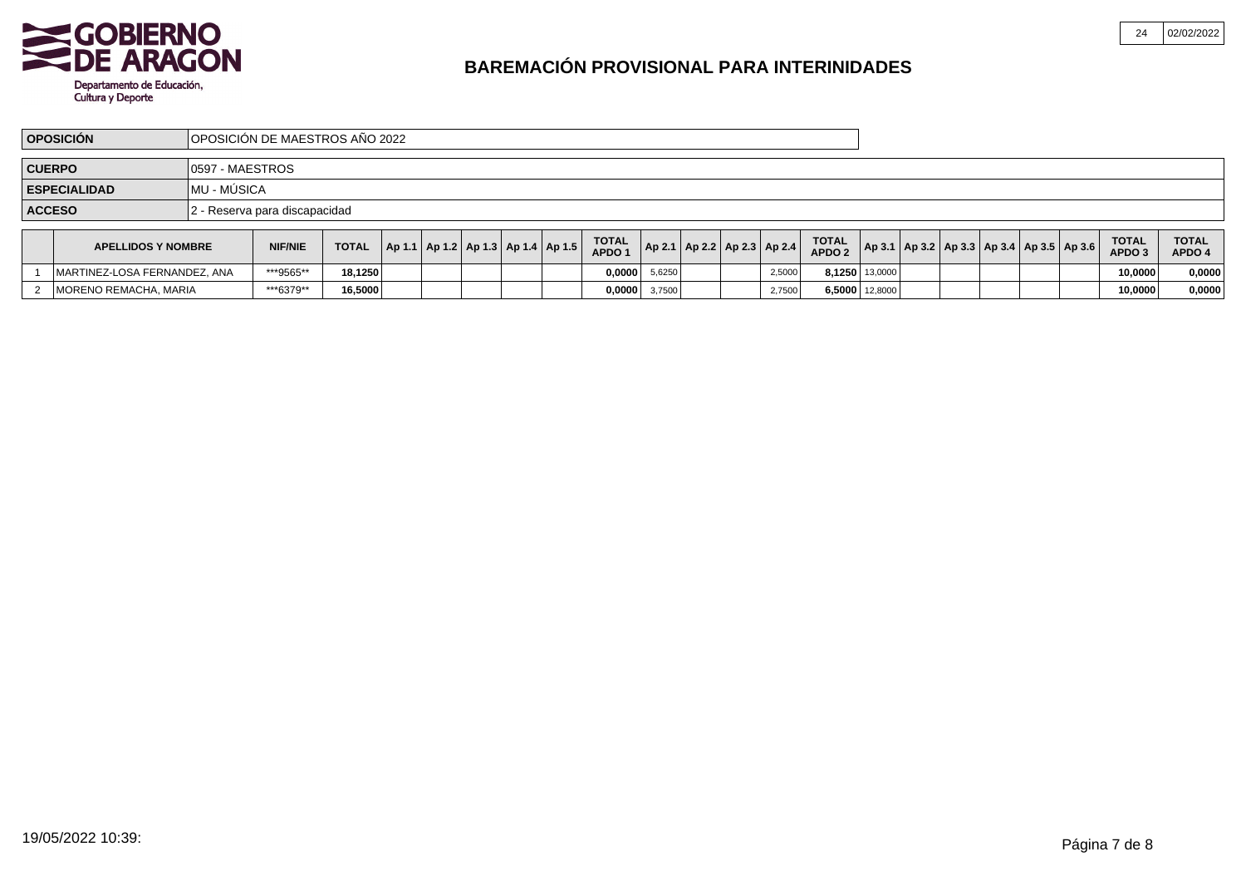

MORENO REMACHA, MARIA

2

# **BAREMACIÓN PROVISIONAL PARA INTERINIDADES**

\*\*\*6379\*\* **16,5000 0,0000** 3,7500 2,7500 **6,5000** 12,8000 **10,0000 0,0000**

|               | <b>OPOSICIÓN</b>             |                  | OPOSICIÓN DE MAESTROS AÑO 2022 |              |  |  |                                            |                                   |                                   |  |        |                                   |                |                                                         |  |                                   |                        |
|---------------|------------------------------|------------------|--------------------------------|--------------|--|--|--------------------------------------------|-----------------------------------|-----------------------------------|--|--------|-----------------------------------|----------------|---------------------------------------------------------|--|-----------------------------------|------------------------|
| <b>CUERPO</b> |                              | 10597 - MAESTROS |                                |              |  |  |                                            |                                   |                                   |  |        |                                   |                |                                                         |  |                                   |                        |
|               | <b>ESPECIALIDAD</b>          | IMU - MÚSICA     |                                |              |  |  |                                            |                                   |                                   |  |        |                                   |                |                                                         |  |                                   |                        |
| <b>ACCESO</b> |                              |                  | 12 - Reserva para discapacidad |              |  |  |                                            |                                   |                                   |  |        |                                   |                |                                                         |  |                                   |                        |
|               | <b>APELLIDOS Y NOMBRE</b>    |                  | <b>NIF/NIE</b>                 | <b>TOTAL</b> |  |  | Ap 1.1   Ap 1.2   Ap 1.3   Ap 1.4   Ap 1.5 | <b>TOTAL</b><br>APDO <sub>1</sub> | Ap 2.1   Ap 2.2   Ap 2.3   Ap 2.4 |  |        | <b>TOTAL</b><br>APDO <sub>2</sub> |                | $ $ Ap 3.1   Ap 3.2   Ap 3.3   Ap 3.4   Ap 3.5   Ap 3.6 |  | <b>TOTAL</b><br>APDO <sub>3</sub> | <b>TOTAL</b><br>APDO 4 |
|               | MARTINEZ-LOSA FERNANDEZ, ANA |                  | ***9565**                      | 18,1250      |  |  |                                            | 0,0000                            | 5,6250                            |  | 2,5000 |                                   | 8,1250 13,0000 |                                                         |  | 10,0000                           | 0,0000                 |